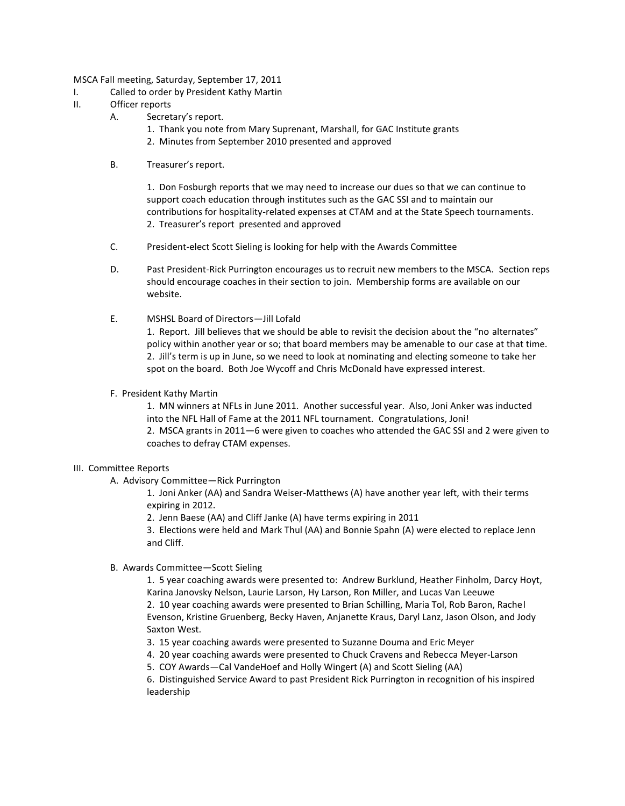MSCA Fall meeting, Saturday, September 17, 2011

- I. Called to order by President Kathy Martin
- II. Officer reports
	- A. Secretary's report.
		- 1. Thank you note from Mary Suprenant, Marshall, for GAC Institute grants
		- 2. Minutes from September 2010 presented and approved
	- B. Treasurer's report.

1. Don Fosburgh reports that we may need to increase our dues so that we can continue to support coach education through institutes such as the GAC SSI and to maintain our contributions for hospitality-related expenses at CTAM and at the State Speech tournaments. 2. Treasurer's report presented and approved

- C. President-elect Scott Sieling is looking for help with the Awards Committee
- D. Past President-Rick Purrington encourages us to recruit new members to the MSCA. Section reps should encourage coaches in their section to join. Membership forms are available on our website.
- E. MSHSL Board of Directors—Jill Lofald

1. Report. Jill believes that we should be able to revisit the decision about the "no alternates" policy within another year or so; that board members may be amenable to our case at that time. 2. Jill's term is up in June, so we need to look at nominating and electing someone to take her spot on the board. Both Joe Wycoff and Chris McDonald have expressed interest.

F. President Kathy Martin

1. MN winners at NFLs in June 2011. Another successful year. Also, Joni Anker was inducted into the NFL Hall of Fame at the 2011 NFL tournament. Congratulations, Joni!

2. MSCA grants in 2011—6 were given to coaches who attended the GAC SSI and 2 were given to coaches to defray CTAM expenses.

## III. Committee Reports

A. Advisory Committee—Rick Purrington

1. Joni Anker (AA) and Sandra Weiser-Matthews (A) have another year left, with their terms expiring in 2012.

2. Jenn Baese (AA) and Cliff Janke (A) have terms expiring in 2011

3. Elections were held and Mark Thul (AA) and Bonnie Spahn (A) were elected to replace Jenn and Cliff.

B. Awards Committee—Scott Sieling

1. 5 year coaching awards were presented to: Andrew Burklund, Heather Finholm, Darcy Hoyt, Karina Janovsky Nelson, Laurie Larson, Hy Larson, Ron Miller, and Lucas Van Leeuwe 2. 10 year coaching awards were presented to Brian Schilling, Maria Tol, Rob Baron, Rachel Evenson, Kristine Gruenberg, Becky Haven, Anjanette Kraus, Daryl Lanz, Jason Olson, and Jody Saxton West.

- 3. 15 year coaching awards were presented to Suzanne Douma and Eric Meyer
- 4. 20 year coaching awards were presented to Chuck Cravens and Rebecca Meyer-Larson
- 5. COY Awards—Cal VandeHoef and Holly Wingert (A) and Scott Sieling (AA)

6. Distinguished Service Award to past President Rick Purrington in recognition of his inspired leadership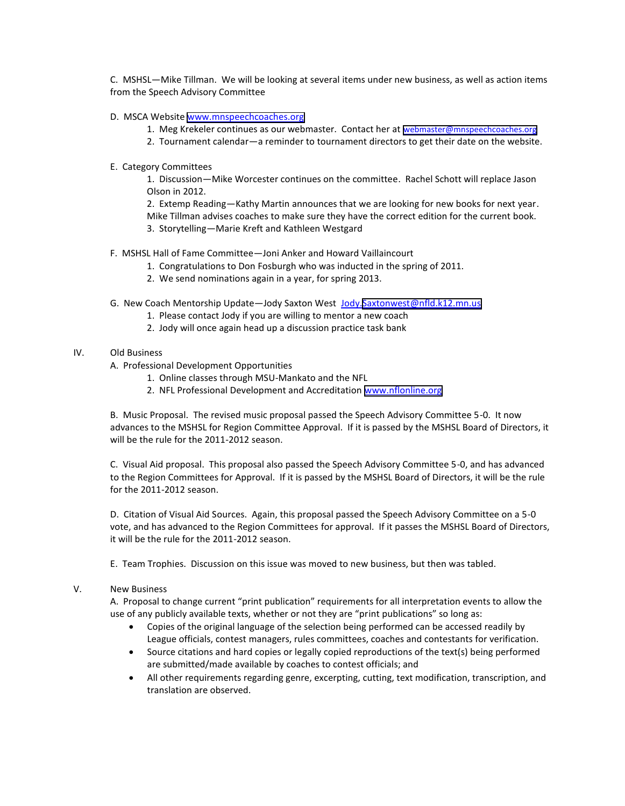C. MSHSL—Mike Tillman. We will be looking at several items under new business, as well as action items from the Speech Advisory Committee

- D. MSCA Website <www.mnspeechcoaches.org>
	- 1. Meg Krekeler continues as our webmaster. Contact her at [webmaster@mnspeechcoaches.org](mailto:webmaster@mnspeechcoaches.org)
	- 2. Tournament calendar—a reminder to tournament directors to get their date on the website.
- E. Category Committees

1. Discussion—Mike Worcester continues on the committee. Rachel Schott will replace Jason Olson in 2012.

2. Extemp Reading—Kathy Martin announces that we are looking for new books for next year. Mike Tillman advises coaches to make sure they have the correct edition for the current book.

- 3. Storytelling—Marie Kreft and Kathleen Westgard
- F. MSHSL Hall of Fame Committee—Joni Anker and Howard Vaillaincourt
	- 1. Congratulations to Don Fosburgh who was inducted in the spring of 2011.
	- 2. We send nominations again in a year, for spring 2013.
- G. New Coach Mentorship Update—Jody Saxton West Jody[.Saxtonwest@nfld.k12.mn.us](mailto:Saxtonwest@nfld.k12.mn.us)
	- 1. Please contact Jody if you are willing to mentor a new coach
	- 2. Jody will once again head up a discussion practice task bank

## IV. Old Business

- A. Professional Development Opportunities
	- 1. Online classes through MSU-Mankato and the NFL
	- 2. NFL Professional Development and Accreditation <www.nflonline.org>

B. Music Proposal. The revised music proposal passed the Speech Advisory Committee 5-0. It now advances to the MSHSL for Region Committee Approval. If it is passed by the MSHSL Board of Directors, it will be the rule for the 2011-2012 season.

C. Visual Aid proposal. This proposal also passed the Speech Advisory Committee 5-0, and has advanced to the Region Committees for Approval. If it is passed by the MSHSL Board of Directors, it will be the rule for the 2011-2012 season.

D. Citation of Visual Aid Sources. Again, this proposal passed the Speech Advisory Committee on a 5-0 vote, and has advanced to the Region Committees for approval. If it passes the MSHSL Board of Directors, it will be the rule for the 2011-2012 season.

E. Team Trophies. Discussion on this issue was moved to new business, but then was tabled.

## V. New Business

A. Proposal to change current "print publication" requirements for all interpretation events to allow the use of any publicly available texts, whether or not they are "print publications" so long as:

- Copies of the original language of the selection being performed can be accessed readily by League officials, contest managers, rules committees, coaches and contestants for verification.
- Source citations and hard copies or legally copied reproductions of the text(s) being performed are submitted/made available by coaches to contest officials; and
- All other requirements regarding genre, excerpting, cutting, text modification, transcription, and translation are observed.